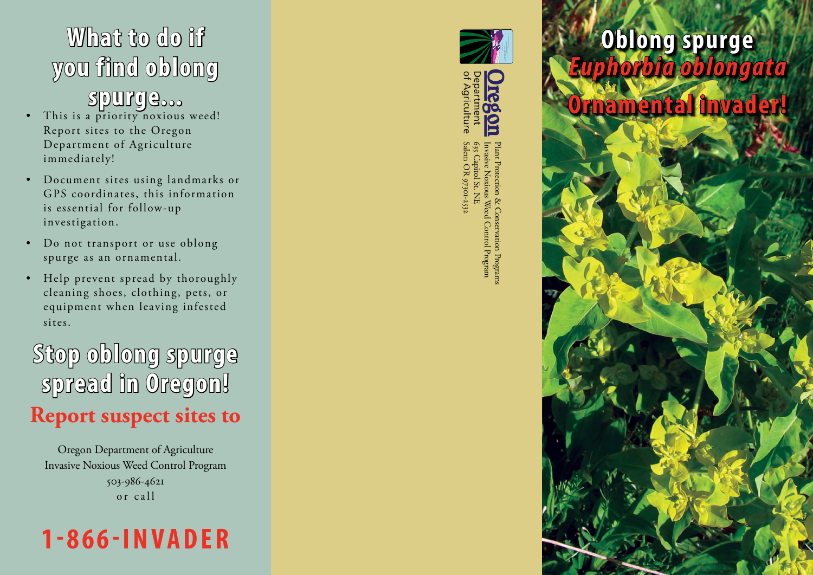# **What to do if you find oblong**

#### **spurge...**

- This is a priority noxious weed! Report sites to the Oregon Department of Agriculture immediately!
- Document sites using landmarks or GPS coordinates, this information is essential for follow-up investigation.
- Do not transport or use oblong spurge as an ornamental.
- Help prevent spread by thoroughly cleaning shoes, clothing, pets, or equipment when leaving infested sites.

**Stop oblong spurge spread in Oregon! Report suspect sites to**

Oregon Department of Agriculture Invasive Noxious Weed Control Program 503-986-4621 or call





Salem OR 97301-2532 Invasive Noxious Weed Control Program Plant Protection & Conservation Programs635 Capitol St. NE on Program.<br>I Program

## **Oblong spurge**  *Euphorbia oblongata* **Ornamental invader!**